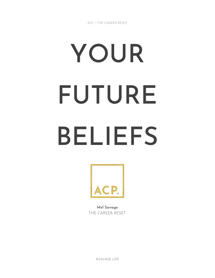# YOUR FUTURE BELIEFS



Mel Savage THE CAREER RESET

©SAVAGE LIFE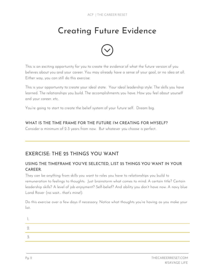## Creating Future Evidence



This is an exciting opportunity for you to create the evidence of what the future version of you believes about you and your career. You may already have a sense of your goal, or no idea at all. Either way, you can still do this exercise.

This is your opportunity to create your ideal state. Your ideal leadership style. The skills you have learned. The relationships you build. The accomplishments you have. How you feel about yourself and your career. etc.

You're going to start to create the belief system of your future self. Dream big.

#### WHAT IS THE TIME FRAME FOR THE FUTURE I'M CREATING FOR MYSELF?

Consider a minimum of 2-3 years from now. But whatever you choose is perfect.

### EXERCISE: THE 25 THINGS YOU WANT

#### USING THE TIMEFRAME YOU'VE SELECTED, LIST 25 THINGS YOU WANT IN YOUR CAREER.

They can be anything from skills you want to roles you have to relationships you build to remuneration to feelings to thoughts. Just brainstorm what comes to mind. A certain title? Certain leadership skills? A level of job enjoyment? Self-belief? And ability you don't have now. A navy blue Land Rover (no wait… that's mine!).

Do this exercise over a few days if necessary. Notice what thoughts you're having as you make your list.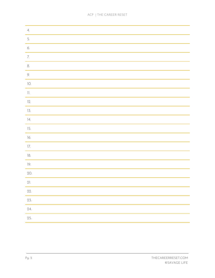| 4.                     |
|------------------------|
| 5.                     |
| 6.                     |
| 7.                     |
| 8.                     |
| 9.                     |
| $\overline{\text{10}}$ |
| $\,$ 11.               |
| 12.                    |
| 13.                    |
| ]4.                    |
| 15.                    |
| 16.                    |
| 17.                    |
| $18.$                  |
| $]9.$                  |
| 20.                    |
| 21.                    |
| 22.                    |
| 23.                    |
| 24.                    |
| 25.                    |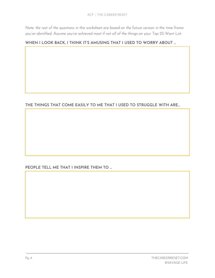Note: the rest of the questions in this worksheet are based on the future version in the time frame *you've identified. Assume you've achieved most if not all of the things on your Top 25 Want List.*

#### WHEN I LOOK BACK, I THINK IT'S AMUSING THAT I USED TO WORRY ABOUT ...

#### THE THINGS THAT COME EASILY TO ME THAT I USED TO STRUGGLE WITH ARE…

PEOPLE TELL ME THAT I INSPIRE THEM TO …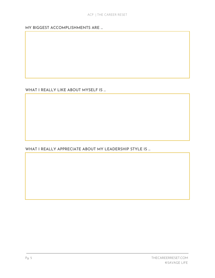MY BIGGEST ACCOMPLISHMENTS ARE …

WHAT I REALLY LIKE ABOUT MYSELF IS ...

WHAT I REALLY APPRECIATE ABOUT MY LEADERSHIP STYLE IS ...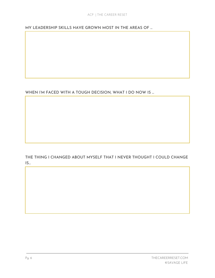MY LEADERSHIP SKILLS HAVE GROWN MOST IN THE AREAS OF …

WHEN I'M FACED WITH A TOUGH DECISION, WHAT I DO NOW IS ...

THE THING I CHANGED ABOUT MYSELF THAT I NEVER THOUGHT I COULD CHANGE  $IS...$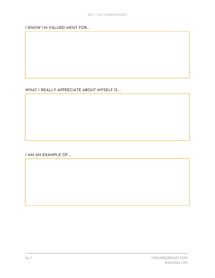#### I KNOW I'M VALUED MOST FOR…

WHAT I REALLY APPRECIATE ABOUT MYSELF IS ...

I AM AN EXAMPLE OF …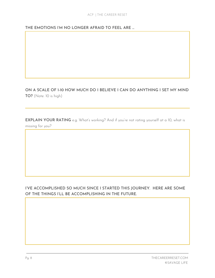#### THE EMOTIONS I'M NO LONGER AFRAID TO FEEL ARE …

#### ON A SCALE OF 1-10 HOW MUCH DO I BELIEVE I CAN DO ANYTHING I SET MY MIND TO? (Note: 10 is high)

EXPLAIN YOUR RATING e.g. What's working? And if you're not rating yourself at a 10, what is missing for you?

I'VE ACCOMPLISHED SO MUCH SINCE I STARTED THIS JOURNEY. HERE ARE SOME OF THE THINGS I'LL BE ACCOMPLISHING IN THE FUTURE.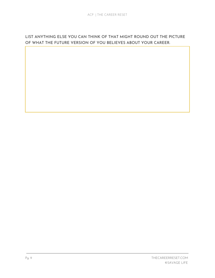#### LIST ANYTHING ELSE YOU CAN THINK OF THAT MIGHT ROUND OUT THE PICTURE OF WHAT THE FUTURE VERSION OF YOU BELIEVES ABOUT YOUR CAREER.